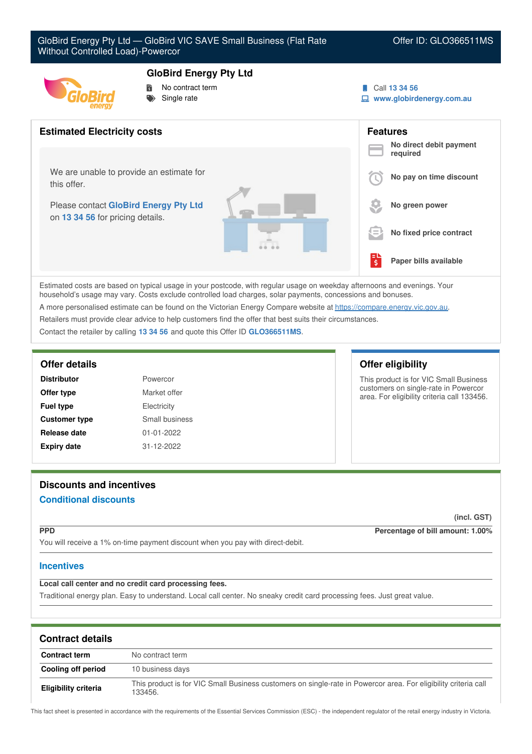

- **GloBird Energy Pty Ltd**
	- No contract term
- Single rate



**www.globirdenergy.com.au**



Estimated costs are based on typical usage in your postcode, with regular usage on weekday afternoons and evenings. Your household's usage may vary. Costs exclude controlled load charges, solar payments, concessions and bonuses. A more personalised estimate can be found on the Victorian Energy Compare website at <https://compare.energy.vic.gov.au>.

Retailers must provide clear advice to help customers find the offer that best suits their circumstances.

Contact the retailer by calling **13 34 56** and quote this Offer ID **GLO366511MS**.

| <b>Distributor</b>   | Powercor         |
|----------------------|------------------|
| Offer type           | Market offer     |
| <b>Fuel type</b>     | Electricity      |
| <b>Customer type</b> | Small business   |
| Release date         | $01 - 01 - 2022$ |
| <b>Expiry date</b>   | 31-12-2022       |

# **Offer details Offer eligibility**

This product is for VIC Small Business customers on single-rate in Powercor area. For eligibility criteria call 133456.

# **Discounts and incentives Conditional discounts**

**(incl. GST)**

**PPD Percentage of bill amount: 1.00%**

You will receive a 1% on-time payment discount when you pay with direct-debit.

# **Incentives**

**Local call center and no credit card processing fees.**

Traditional energy plan. Easy to understand. Local call center. No sneaky credit card processing fees. Just great value.

| <b>Contract details</b>     |                                                                                                                            |
|-----------------------------|----------------------------------------------------------------------------------------------------------------------------|
| <b>Contract term</b>        | No contract term                                                                                                           |
| Cooling off period          | 10 business days                                                                                                           |
| <b>Eligibility criteria</b> | This product is for VIC Small Business customers on single-rate in Powercor area. For eligibility criteria call<br>133456. |

This fact sheet is presented in accordance with the requirements of the Essential Services Commission (ESC) - the independent regulator of the retail energy industry in Victoria.